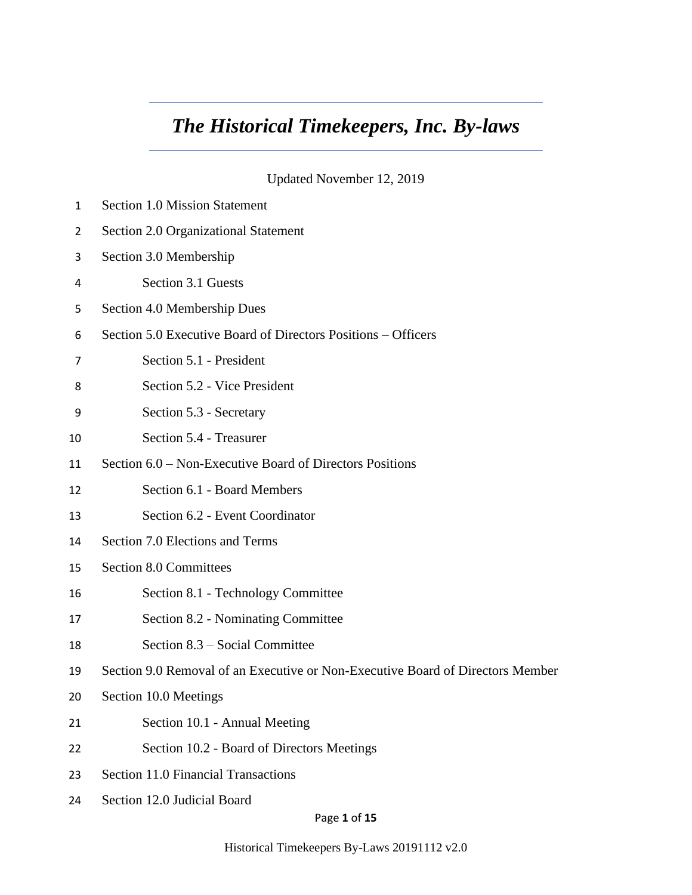# *The Historical Timekeepers, Inc. By-laws*

Updated November 12, 2019

| 1  | <b>Section 1.0 Mission Statement</b>                                           |
|----|--------------------------------------------------------------------------------|
| 2  | Section 2.0 Organizational Statement                                           |
| 3  | Section 3.0 Membership                                                         |
| 4  | Section 3.1 Guests                                                             |
| 5  | Section 4.0 Membership Dues                                                    |
| 6  | Section 5.0 Executive Board of Directors Positions – Officers                  |
| 7  | Section 5.1 - President                                                        |
| 8  | Section 5.2 - Vice President                                                   |
| 9  | Section 5.3 - Secretary                                                        |
| 10 | Section 5.4 - Treasurer                                                        |
| 11 | Section 6.0 – Non-Executive Board of Directors Positions                       |
| 12 | Section 6.1 - Board Members                                                    |
| 13 | Section 6.2 - Event Coordinator                                                |
| 14 | Section 7.0 Elections and Terms                                                |
| 15 | <b>Section 8.0 Committees</b>                                                  |
| 16 | Section 8.1 - Technology Committee                                             |
| 17 | Section 8.2 - Nominating Committee                                             |
| 18 | Section 8.3 – Social Committee                                                 |
| 19 | Section 9.0 Removal of an Executive or Non-Executive Board of Directors Member |
| 20 | Section 10.0 Meetings                                                          |
| 21 | Section 10.1 - Annual Meeting                                                  |
| 22 | Section 10.2 - Board of Directors Meetings                                     |
| 23 | Section 11.0 Financial Transactions                                            |
| 24 | Section 12.0 Judicial Board                                                    |

Page **1** of **15**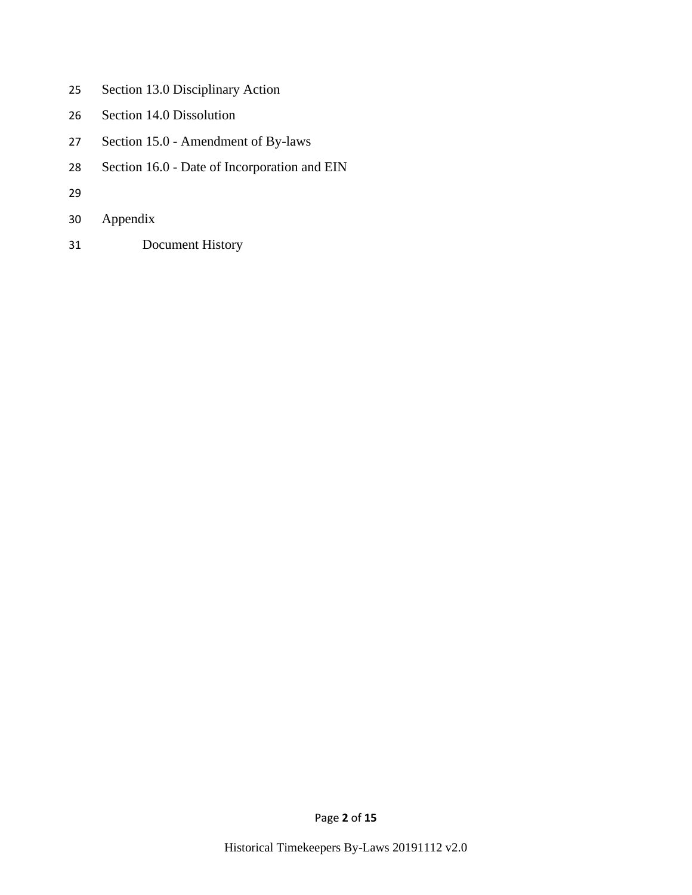- Section 13.0 Disciplinary Action
- Section 14.0 Dissolution
- Section 15.0 Amendment of By-laws
- Section 16.0 Date of Incorporation and EIN
- 
- Appendix
- Document History

Page **2** of **15**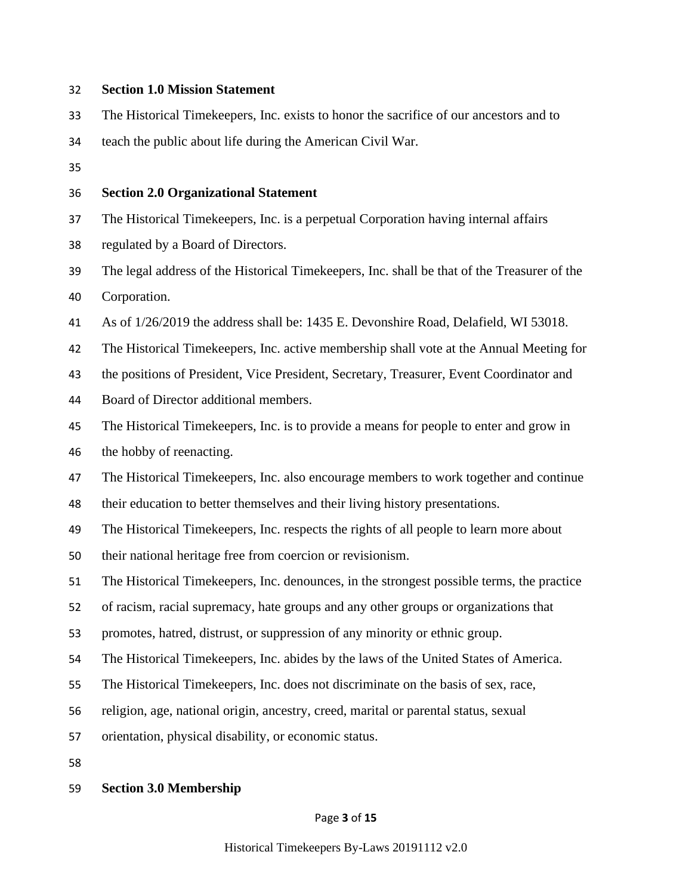#### **Section 1.0 Mission Statement**

- The Historical Timekeepers, Inc. exists to honor the sacrifice of our ancestors and to
- teach the public about life during the American Civil War.
- 

#### **Section 2.0 Organizational Statement**

The Historical Timekeepers, Inc. is a perpetual Corporation having internal affairs

regulated by a Board of Directors.

 The legal address of the Historical Timekeepers, Inc. shall be that of the Treasurer of the Corporation.

As of 1/26/2019 the address shall be: 1435 E. Devonshire Road, Delafield, WI 53018.

The Historical Timekeepers, Inc. active membership shall vote at the Annual Meeting for

the positions of President, Vice President, Secretary, Treasurer, Event Coordinator and

- Board of Director additional members.
- The Historical Timekeepers, Inc. is to provide a means for people to enter and grow in the hobby of reenacting.

The Historical Timekeepers, Inc. also encourage members to work together and continue

their education to better themselves and their living history presentations.

The Historical Timekeepers, Inc. respects the rights of all people to learn more about

their national heritage free from coercion or revisionism.

The Historical Timekeepers, Inc. denounces, in the strongest possible terms, the practice

of racism, racial supremacy, hate groups and any other groups or organizations that

promotes, hatred, distrust, or suppression of any minority or ethnic group.

The Historical Timekeepers, Inc. abides by the laws of the United States of America.

The Historical Timekeepers, Inc. does not discriminate on the basis of sex, race,

religion, age, national origin, ancestry, creed, marital or parental status, sexual

orientation, physical disability, or economic status.

#### **Section 3.0 Membership**

Page **3** of **15**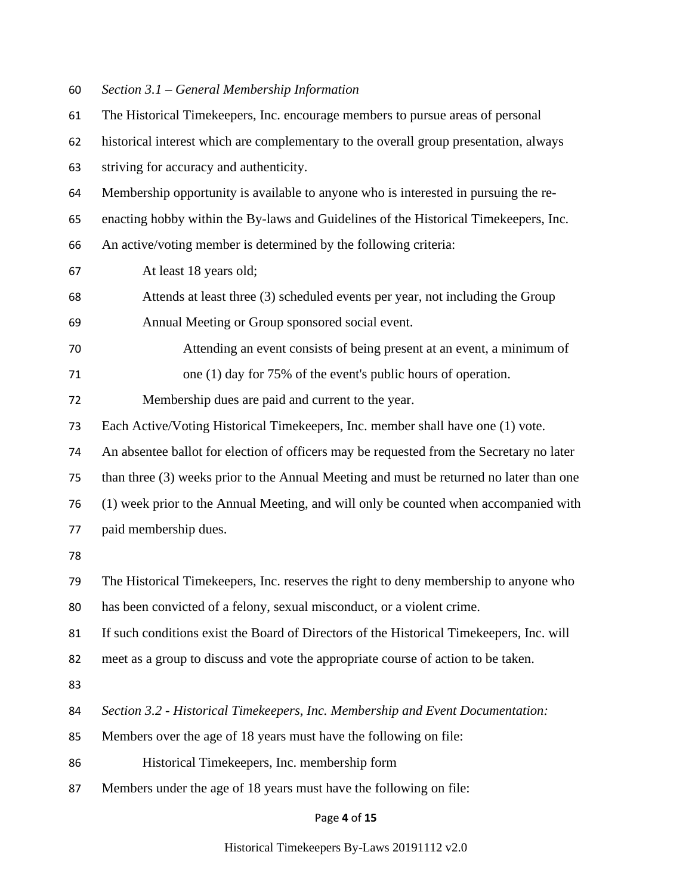*Section 3.1 – General Membership Information*

| 61 | The Historical Timekeepers, Inc. encourage members to pursue areas of personal           |
|----|------------------------------------------------------------------------------------------|
| 62 | historical interest which are complementary to the overall group presentation, always    |
| 63 | striving for accuracy and authenticity.                                                  |
| 64 | Membership opportunity is available to anyone who is interested in pursuing the re-      |
| 65 | enacting hobby within the By-laws and Guidelines of the Historical Timekeepers, Inc.     |
| 66 | An active/voting member is determined by the following criteria:                         |
| 67 | At least 18 years old;                                                                   |
| 68 | Attends at least three (3) scheduled events per year, not including the Group            |
| 69 | Annual Meeting or Group sponsored social event.                                          |
| 70 | Attending an event consists of being present at an event, a minimum of                   |
| 71 | one $(1)$ day for 75% of the event's public hours of operation.                          |
| 72 | Membership dues are paid and current to the year.                                        |
| 73 | Each Active/Voting Historical Timekeepers, Inc. member shall have one (1) vote.          |
| 74 | An absentee ballot for election of officers may be requested from the Secretary no later |
| 75 | than three (3) weeks prior to the Annual Meeting and must be returned no later than one  |
| 76 | (1) week prior to the Annual Meeting, and will only be counted when accompanied with     |
| 77 | paid membership dues.                                                                    |
| 78 |                                                                                          |
| 79 | The Historical Timekeepers, Inc. reserves the right to deny membership to anyone who     |
| 80 | has been convicted of a felony, sexual misconduct, or a violent crime.                   |
| 81 | If such conditions exist the Board of Directors of the Historical Timekeepers, Inc. will |
| 82 | meet as a group to discuss and vote the appropriate course of action to be taken.        |
| 83 |                                                                                          |
| 84 | Section 3.2 - Historical Timekeepers, Inc. Membership and Event Documentation:           |
| 85 | Members over the age of 18 years must have the following on file:                        |
| 86 | Historical Timekeepers, Inc. membership form                                             |
| 87 | Members under the age of 18 years must have the following on file:                       |
|    |                                                                                          |

# Page **4** of **15**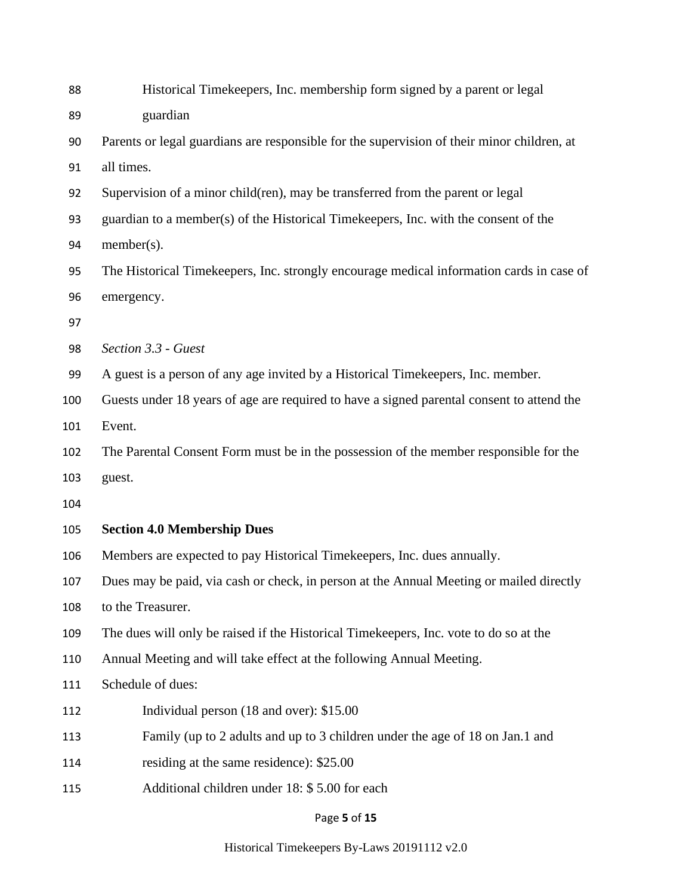| 88  | Historical Timekeepers, Inc. membership form signed by a parent or legal                   |
|-----|--------------------------------------------------------------------------------------------|
| 89  | guardian                                                                                   |
| 90  | Parents or legal guardians are responsible for the supervision of their minor children, at |
| 91  | all times.                                                                                 |
| 92  | Supervision of a minor child(ren), may be transferred from the parent or legal             |
| 93  | guardian to a member(s) of the Historical Timekeepers, Inc. with the consent of the        |
| 94  | $member(s)$ .                                                                              |
| 95  | The Historical Timekeepers, Inc. strongly encourage medical information cards in case of   |
| 96  | emergency.                                                                                 |
| 97  |                                                                                            |
| 98  | Section 3.3 - Guest                                                                        |
| 99  | A guest is a person of any age invited by a Historical Timekeepers, Inc. member.           |
| 100 | Guests under 18 years of age are required to have a signed parental consent to attend the  |
| 101 | Event.                                                                                     |
| 102 | The Parental Consent Form must be in the possession of the member responsible for the      |
| 103 | guest.                                                                                     |
| 104 |                                                                                            |
| 105 | <b>Section 4.0 Membership Dues</b>                                                         |
| 106 | Members are expected to pay Historical Timekeepers, Inc. dues annually.                    |
| 107 | Dues may be paid, via cash or check, in person at the Annual Meeting or mailed directly    |
| 108 | to the Treasurer.                                                                          |
| 109 | The dues will only be raised if the Historical Timekeepers, Inc. vote to do so at the      |
| 110 | Annual Meeting and will take effect at the following Annual Meeting.                       |
| 111 | Schedule of dues:                                                                          |
| 112 | Individual person (18 and over): \$15.00                                                   |
| 113 | Family (up to 2 adults and up to 3 children under the age of 18 on Jan.1 and               |
| 114 | residing at the same residence): \$25.00                                                   |
| 115 | Additional children under 18: \$5.00 for each                                              |
|     |                                                                                            |

## Page **5** of **15**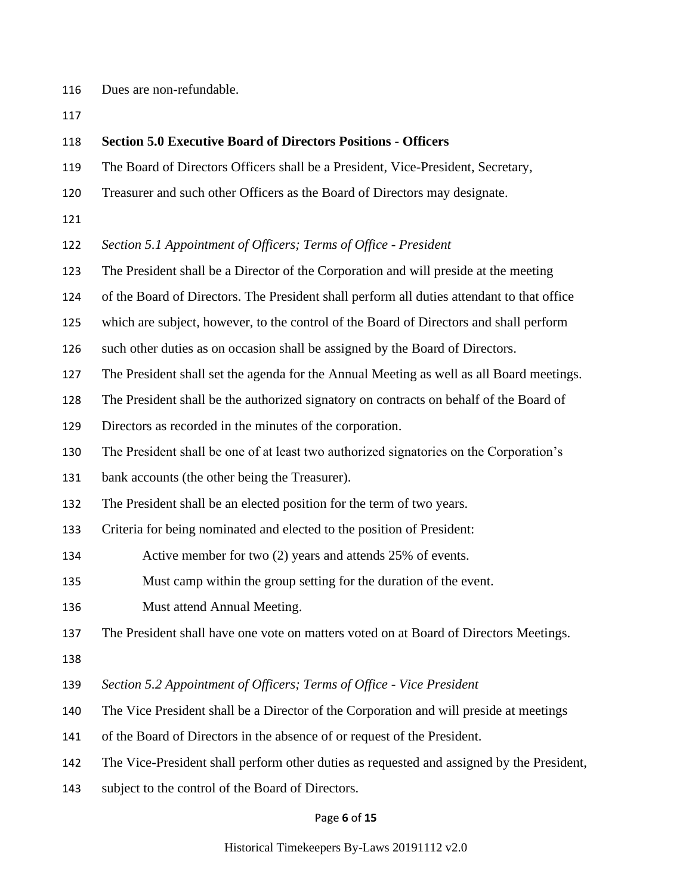- Dues are non-refundable.
- 

#### **Section 5.0 Executive Board of Directors Positions - Officers**

- The Board of Directors Officers shall be a President, Vice-President, Secretary,
- Treasurer and such other Officers as the Board of Directors may designate.
- 

## *Section 5.1 Appointment of Officers; Terms of Office - President*

The President shall be a Director of the Corporation and will preside at the meeting

of the Board of Directors. The President shall perform all duties attendant to that office

- which are subject, however, to the control of the Board of Directors and shall perform
- such other duties as on occasion shall be assigned by the Board of Directors.
- The President shall set the agenda for the Annual Meeting as well as all Board meetings.
- The President shall be the authorized signatory on contracts on behalf of the Board of
- Directors as recorded in the minutes of the corporation.
- The President shall be one of at least two authorized signatories on the Corporation's
- bank accounts (the other being the Treasurer).
- The President shall be an elected position for the term of two years.
- Criteria for being nominated and elected to the position of President:
- Active member for two (2) years and attends 25% of events.
- Must camp within the group setting for the duration of the event.
- Must attend Annual Meeting.

The President shall have one vote on matters voted on at Board of Directors Meetings.

- 
- *Section 5.2 Appointment of Officers; Terms of Office - Vice President*
- The Vice President shall be a Director of the Corporation and will preside at meetings
- of the Board of Directors in the absence of or request of the President.
- The Vice-President shall perform other duties as requested and assigned by the President,
- subject to the control of the Board of Directors.

#### Page **6** of **15**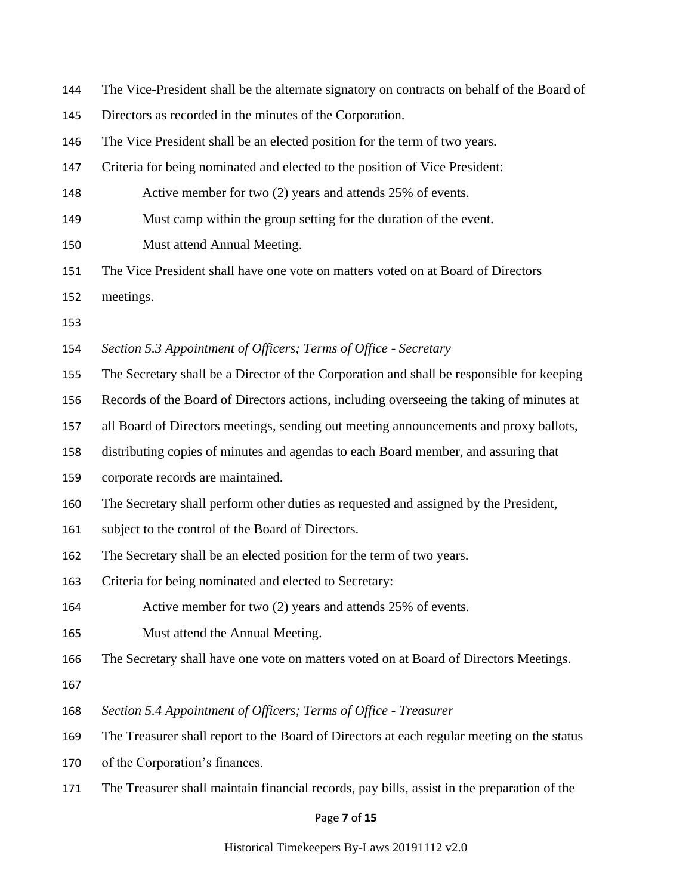| 144 | The Vice-President shall be the alternate signatory on contracts on behalf of the Board of  |
|-----|---------------------------------------------------------------------------------------------|
| 145 | Directors as recorded in the minutes of the Corporation.                                    |
| 146 | The Vice President shall be an elected position for the term of two years.                  |
| 147 | Criteria for being nominated and elected to the position of Vice President:                 |
| 148 | Active member for two (2) years and attends 25% of events.                                  |
| 149 | Must camp within the group setting for the duration of the event.                           |
| 150 | Must attend Annual Meeting.                                                                 |
| 151 | The Vice President shall have one vote on matters voted on at Board of Directors            |
| 152 | meetings.                                                                                   |
| 153 |                                                                                             |
| 154 | Section 5.3 Appointment of Officers; Terms of Office - Secretary                            |
| 155 | The Secretary shall be a Director of the Corporation and shall be responsible for keeping   |
| 156 | Records of the Board of Directors actions, including overseeing the taking of minutes at    |
| 157 | all Board of Directors meetings, sending out meeting announcements and proxy ballots,       |
| 158 | distributing copies of minutes and agendas to each Board member, and assuring that          |
| 159 | corporate records are maintained.                                                           |
| 160 | The Secretary shall perform other duties as requested and assigned by the President,        |
| 161 | subject to the control of the Board of Directors.                                           |
| 162 | The Secretary shall be an elected position for the term of two years.                       |
| 163 | Criteria for being nominated and elected to Secretary:                                      |
| 164 | Active member for two $(2)$ years and attends 25% of events.                                |
| 165 | Must attend the Annual Meeting.                                                             |
| 166 | The Secretary shall have one vote on matters voted on at Board of Directors Meetings.       |
| 167 |                                                                                             |
| 168 | Section 5.4 Appointment of Officers; Terms of Office - Treasurer                            |
| 169 | The Treasurer shall report to the Board of Directors at each regular meeting on the status  |
| 170 | of the Corporation's finances.                                                              |
| 171 | The Treasurer shall maintain financial records, pay bills, assist in the preparation of the |
|     | Page 7 of 15                                                                                |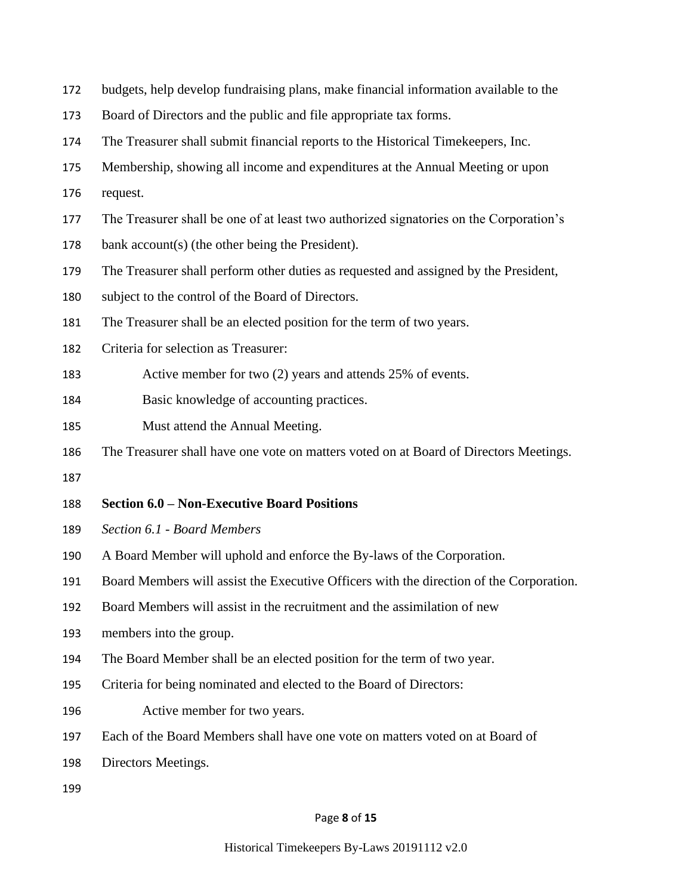- budgets, help develop fundraising plans, make financial information available to the
- Board of Directors and the public and file appropriate tax forms.
- The Treasurer shall submit financial reports to the Historical Timekeepers, Inc.
- Membership, showing all income and expenditures at the Annual Meeting or upon
- request.
- The Treasurer shall be one of at least two authorized signatories on the Corporation's
- bank account(s) (the other being the President).
- The Treasurer shall perform other duties as requested and assigned by the President,
- subject to the control of the Board of Directors.
- The Treasurer shall be an elected position for the term of two years.
- Criteria for selection as Treasurer:
- Active member for two (2) years and attends 25% of events.
- Basic knowledge of accounting practices.
- Must attend the Annual Meeting.
- The Treasurer shall have one vote on matters voted on at Board of Directors Meetings.
- 

### **Section 6.0 – Non-Executive Board Positions**

- *Section 6.1 - Board Members*
- A Board Member will uphold and enforce the By-laws of the Corporation.
- Board Members will assist the Executive Officers with the direction of the Corporation.
- Board Members will assist in the recruitment and the assimilation of new
- members into the group.
- The Board Member shall be an elected position for the term of two year.
- Criteria for being nominated and elected to the Board of Directors:
- Active member for two years.
- Each of the Board Members shall have one vote on matters voted on at Board of
- Directors Meetings.
- 

#### Page **8** of **15**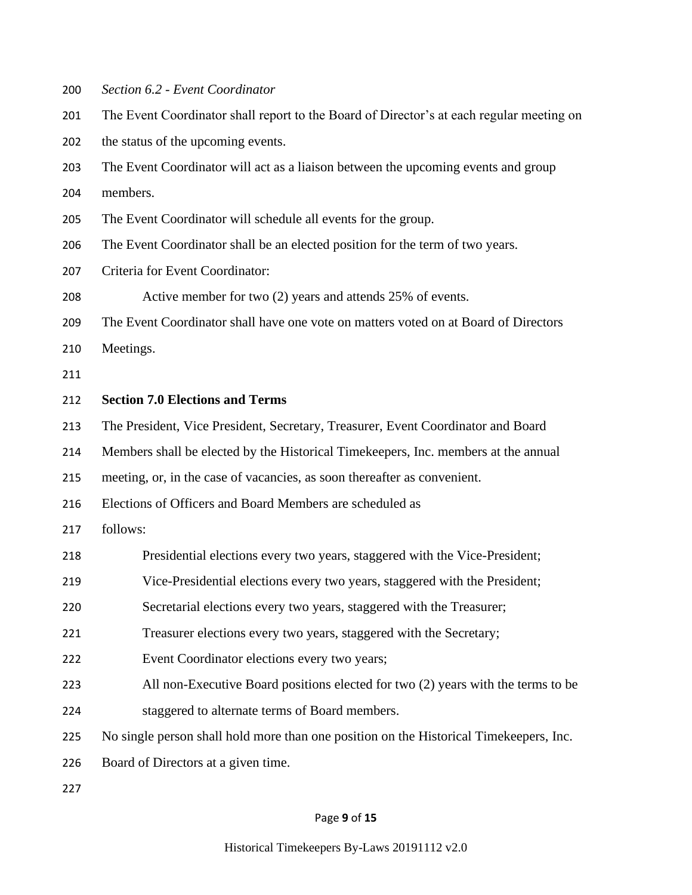- *Section 6.2 - Event Coordinator*
- The Event Coordinator shall report to the Board of Director's at each regular meeting on

the status of the upcoming events.

The Event Coordinator will act as a liaison between the upcoming events and group

members.

- The Event Coordinator will schedule all events for the group.
- The Event Coordinator shall be an elected position for the term of two years.
- Criteria for Event Coordinator:

Active member for two (2) years and attends 25% of events.

The Event Coordinator shall have one vote on matters voted on at Board of Directors

Meetings.

#### **Section 7.0 Elections and Terms**

The President, Vice President, Secretary, Treasurer, Event Coordinator and Board

Members shall be elected by the Historical Timekeepers, Inc. members at the annual

meeting, or, in the case of vacancies, as soon thereafter as convenient.

Elections of Officers and Board Members are scheduled as

- follows:
- Presidential elections every two years, staggered with the Vice-President;
- Vice-Presidential elections every two years, staggered with the President;
- Secretarial elections every two years, staggered with the Treasurer;
- Treasurer elections every two years, staggered with the Secretary;
- Event Coordinator elections every two years;
- All non-Executive Board positions elected for two (2) years with the terms to be
- staggered to alternate terms of Board members.
- No single person shall hold more than one position on the Historical Timekeepers, Inc.
- Board of Directors at a given time.

#### Page **9** of **15**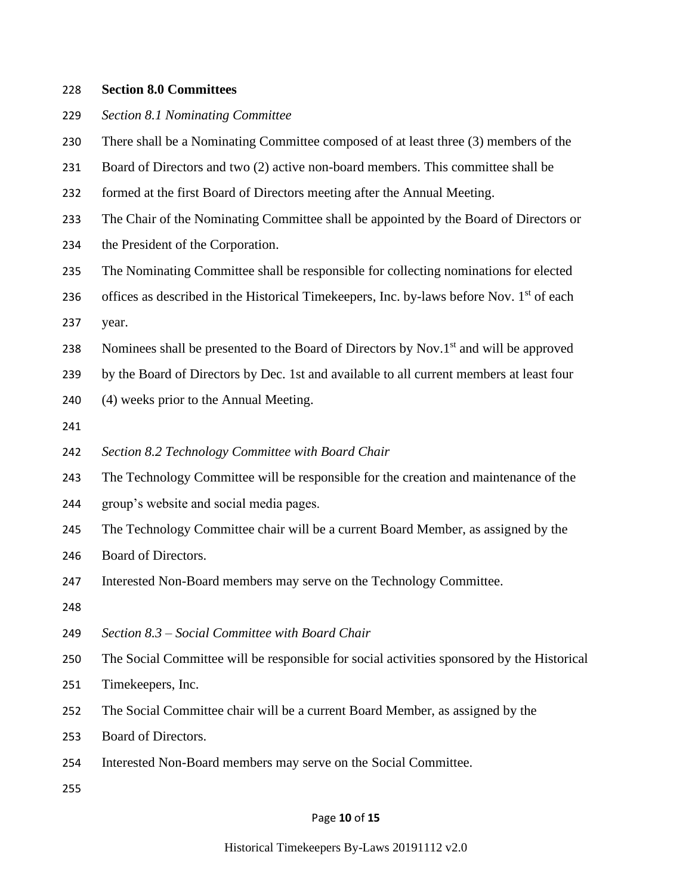#### **Section 8.0 Committees**

- *Section 8.1 Nominating Committee*
- There shall be a Nominating Committee composed of at least three (3) members of the
- Board of Directors and two (2) active non-board members. This committee shall be
- formed at the first Board of Directors meeting after the Annual Meeting.
- The Chair of the Nominating Committee shall be appointed by the Board of Directors or
- the President of the Corporation.
- The Nominating Committee shall be responsible for collecting nominations for elected
- 236 offices as described in the Historical Timekeepers, Inc. by-laws before Nov.  $1<sup>st</sup>$  of each
- year.
- 238 Nominees shall be presented to the Board of Directors by Nov.1 $^{\text{st}}$  and will be approved
- by the Board of Directors by Dec. 1st and available to all current members at least four
- (4) weeks prior to the Annual Meeting.
- 
- *Section 8.2 Technology Committee with Board Chair*
- The Technology Committee will be responsible for the creation and maintenance of the
- group's website and social media pages.
- The Technology Committee chair will be a current Board Member, as assigned by the
- Board of Directors.
- Interested Non-Board members may serve on the Technology Committee.
- 
- *Section 8.3 – Social Committee with Board Chair*
- The Social Committee will be responsible for social activities sponsored by the Historical
- Timekeepers, Inc.
- The Social Committee chair will be a current Board Member, as assigned by the
- Board of Directors.
- Interested Non-Board members may serve on the Social Committee.
- 

#### Page **10** of **15**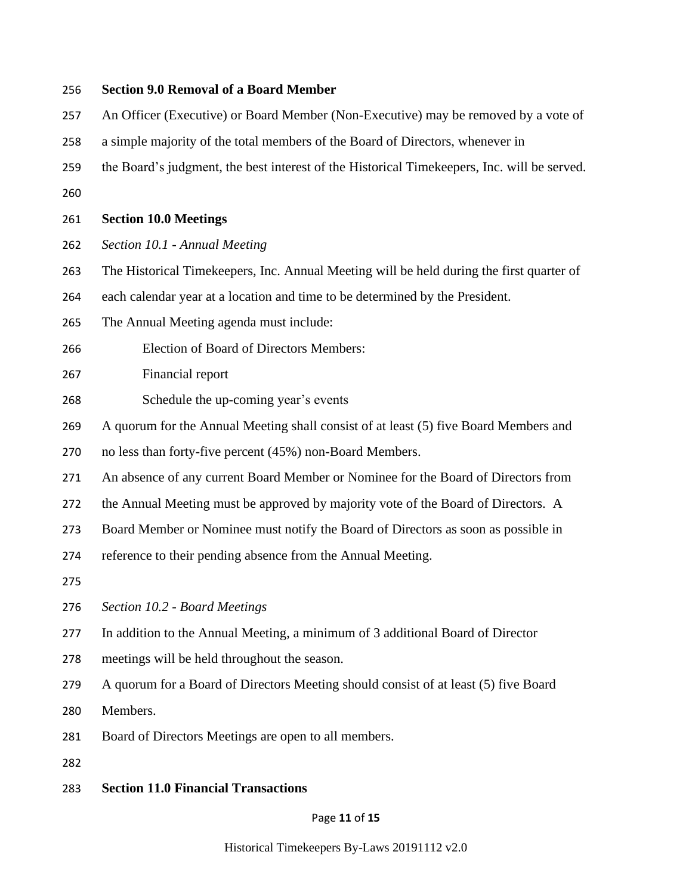# **Section 9.0 Removal of a Board Member** An Officer (Executive) or Board Member (Non-Executive) may be removed by a vote of a simple majority of the total members of the Board of Directors, whenever in the Board's judgment, the best interest of the Historical Timekeepers, Inc. will be served. **Section 10.0 Meetings** *Section 10.1 - Annual Meeting* The Historical Timekeepers, Inc. Annual Meeting will be held during the first quarter of each calendar year at a location and time to be determined by the President. The Annual Meeting agenda must include: Election of Board of Directors Members: Financial report Schedule the up-coming year's events A quorum for the Annual Meeting shall consist of at least (5) five Board Members and no less than forty-five percent (45%) non-Board Members. An absence of any current Board Member or Nominee for the Board of Directors from the Annual Meeting must be approved by majority vote of the Board of Directors. A Board Member or Nominee must notify the Board of Directors as soon as possible in reference to their pending absence from the Annual Meeting. *Section 10.2 - Board Meetings* In addition to the Annual Meeting, a minimum of 3 additional Board of Director meetings will be held throughout the season. A quorum for a Board of Directors Meeting should consist of at least (5) five Board Members. Board of Directors Meetings are open to all members. **Section 11.0 Financial Transactions**

#### Page **11** of **15**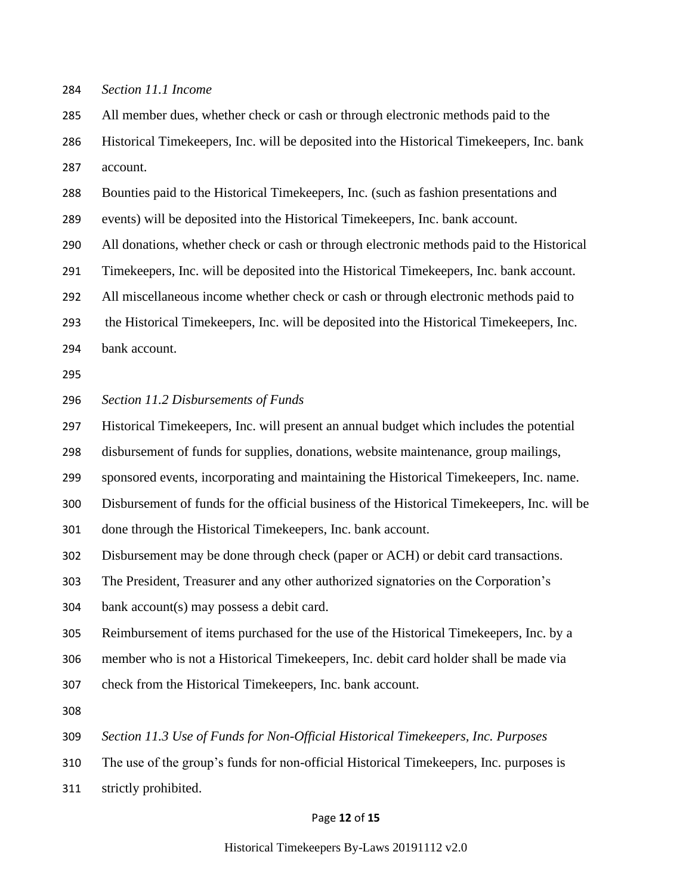#### *Section 11.1 Income*

 All member dues, whether check or cash or through electronic methods paid to the Historical Timekeepers, Inc. will be deposited into the Historical Timekeepers, Inc. bank

account.

Bounties paid to the Historical Timekeepers, Inc. (such as fashion presentations and

events) will be deposited into the Historical Timekeepers, Inc. bank account.

All donations, whether check or cash or through electronic methods paid to the Historical

Timekeepers, Inc. will be deposited into the Historical Timekeepers, Inc. bank account.

All miscellaneous income whether check or cash or through electronic methods paid to

the Historical Timekeepers, Inc. will be deposited into the Historical Timekeepers, Inc.

bank account.

#### *Section 11.2 Disbursements of Funds*

Historical Timekeepers, Inc. will present an annual budget which includes the potential

disbursement of funds for supplies, donations, website maintenance, group mailings,

sponsored events, incorporating and maintaining the Historical Timekeepers, Inc. name.

Disbursement of funds for the official business of the Historical Timekeepers, Inc. will be

done through the Historical Timekeepers, Inc. bank account.

Disbursement may be done through check (paper or ACH) or debit card transactions.

The President, Treasurer and any other authorized signatories on the Corporation's

bank account(s) may possess a debit card.

Reimbursement of items purchased for the use of the Historical Timekeepers, Inc. by a

member who is not a Historical Timekeepers, Inc. debit card holder shall be made via

- check from the Historical Timekeepers, Inc. bank account.
- 

*Section 11.3 Use of Funds for Non-Official Historical Timekeepers, Inc. Purposes*

The use of the group's funds for non-official Historical Timekeepers, Inc. purposes is

strictly prohibited.

#### Page **12** of **15**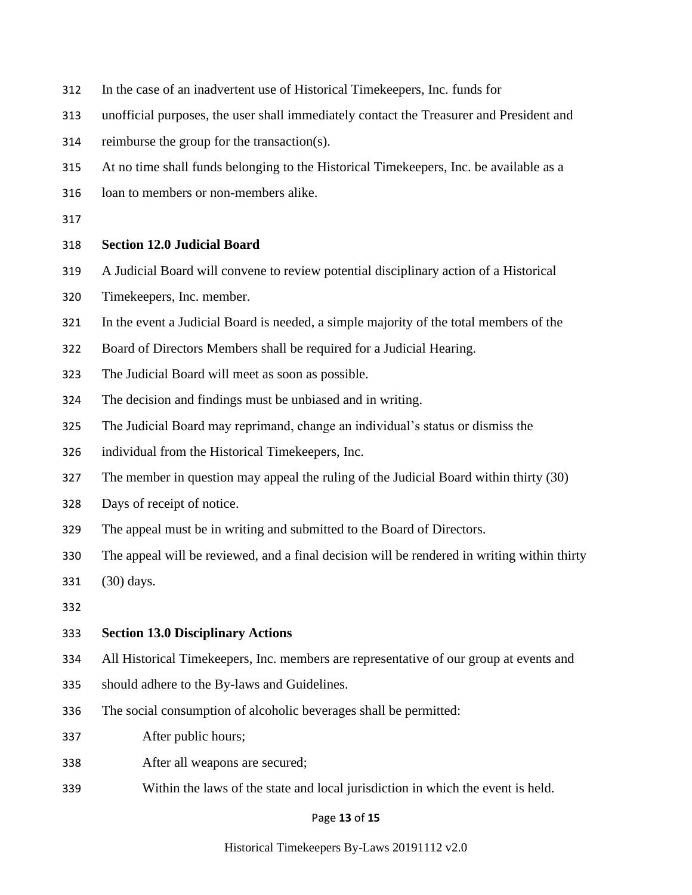- In the case of an inadvertent use of Historical Timekeepers, Inc. funds for
- unofficial purposes, the user shall immediately contact the Treasurer and President and
- reimburse the group for the transaction(s).
- At no time shall funds belonging to the Historical Timekeepers, Inc. be available as a
- loan to members or non-members alike.
- 

### **Section 12.0 Judicial Board**

- A Judicial Board will convene to review potential disciplinary action of a Historical
- Timekeepers, Inc. member.
- In the event a Judicial Board is needed, a simple majority of the total members of the
- Board of Directors Members shall be required for a Judicial Hearing.
- The Judicial Board will meet as soon as possible.
- The decision and findings must be unbiased and in writing.
- The Judicial Board may reprimand, change an individual's status or dismiss the
- individual from the Historical Timekeepers, Inc.
- The member in question may appeal the ruling of the Judicial Board within thirty (30)
- Days of receipt of notice.
- The appeal must be in writing and submitted to the Board of Directors.
- The appeal will be reviewed, and a final decision will be rendered in writing within thirty
- (30) days.
- 

#### **Section 13.0 Disciplinary Actions**

- All Historical Timekeepers, Inc. members are representative of our group at events and
- should adhere to the By-laws and Guidelines.
- The social consumption of alcoholic beverages shall be permitted:
- After public hours;
- After all weapons are secured;
- Within the laws of the state and local jurisdiction in which the event is held.

#### Page **13** of **15**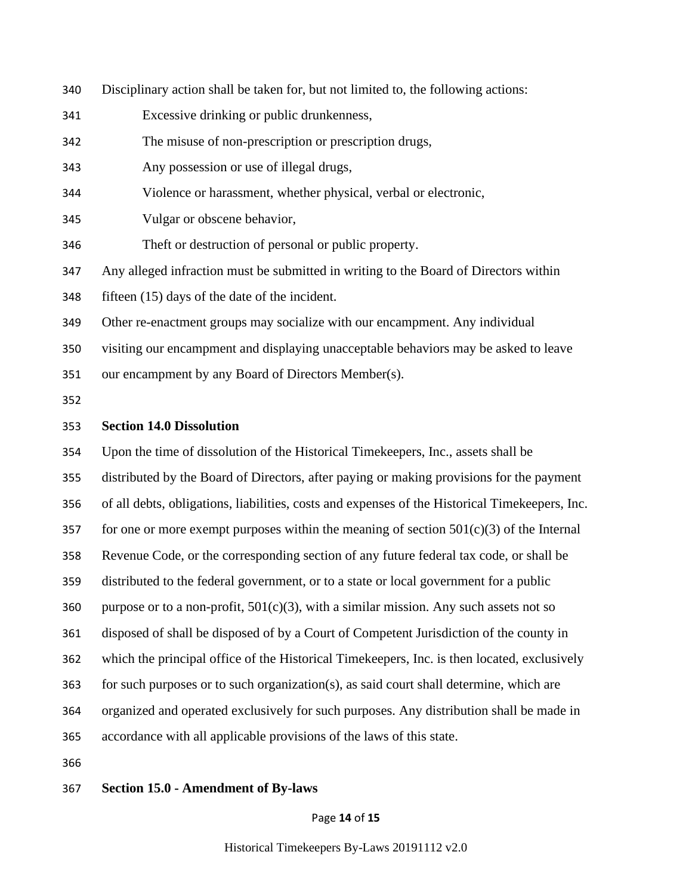- Disciplinary action shall be taken for, but not limited to, the following actions:
- Excessive drinking or public drunkenness,
- The misuse of non-prescription or prescription drugs,
- Any possession or use of illegal drugs,
- Violence or harassment, whether physical, verbal or electronic,
- Vulgar or obscene behavior,
- Theft or destruction of personal or public property.
- Any alleged infraction must be submitted in writing to the Board of Directors within
- fifteen (15) days of the date of the incident.
- Other re-enactment groups may socialize with our encampment. Any individual
- visiting our encampment and displaying unacceptable behaviors may be asked to leave
- our encampment by any Board of Directors Member(s).
- 

#### **Section 14.0 Dissolution**

 Upon the time of dissolution of the Historical Timekeepers, Inc., assets shall be distributed by the Board of Directors, after paying or making provisions for the payment of all debts, obligations, liabilities, costs and expenses of the Historical Timekeepers, Inc. 357 for one or more exempt purposes within the meaning of section  $501(c)(3)$  of the Internal Revenue Code, or the corresponding section of any future federal tax code, or shall be distributed to the federal government, or to a state or local government for a public 360 purpose or to a non-profit,  $501(c)(3)$ , with a similar mission. Any such assets not so disposed of shall be disposed of by a Court of Competent Jurisdiction of the county in which the principal office of the Historical Timekeepers, Inc. is then located, exclusively for such purposes or to such organization(s), as said court shall determine, which are organized and operated exclusively for such purposes. Any distribution shall be made in accordance with all applicable provisions of the laws of this state.

#### **Section 15.0 - Amendment of By-laws**

#### Page **14** of **15**